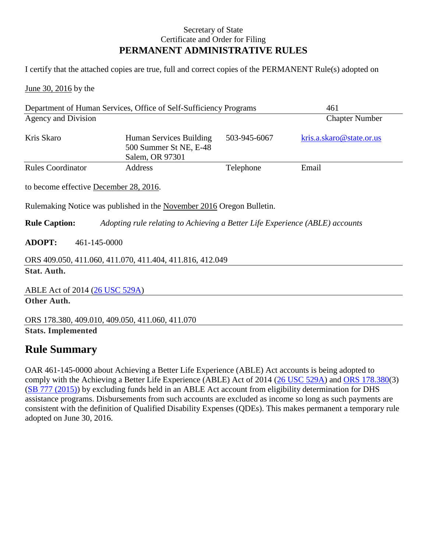## Secretary of State Certificate and Order for Filing **PERMANENT ADMINISTRATIVE RULES**

I certify that the attached copies are true, full and correct copies of the PERMANENT Rule(s) adopted on

June 30, 2016 by the

| Department of Human Services, Office of Self-Sufficiency Programs                                    |                                                                      |              | 461                      |
|------------------------------------------------------------------------------------------------------|----------------------------------------------------------------------|--------------|--------------------------|
| Agency and Division                                                                                  |                                                                      |              | <b>Chapter Number</b>    |
| Kris Skaro                                                                                           | Human Services Building<br>500 Summer St NE, E-48<br>Salem, OR 97301 | 503-945-6067 | kris.a.skaro@state.or.us |
| <b>Rules Coordinator</b>                                                                             | Address                                                              | Telephone    | Email                    |
| to become effective December 28, 2016.                                                               |                                                                      |              |                          |
| Rulemaking Notice was published in the November 2016 Oregon Bulletin.                                |                                                                      |              |                          |
| <b>Rule Caption:</b><br>Adopting rule relating to Achieving a Better Life Experience (ABLE) accounts |                                                                      |              |                          |
| <b>ADOPT:</b><br>461-145-0000                                                                        |                                                                      |              |                          |
| ORS 409.050, 411.060, 411.070, 411.404, 411.816, 412.049                                             |                                                                      |              |                          |
| <b>Stat. Auth.</b>                                                                                   |                                                                      |              |                          |
| ABLE Act of 2014 (26 USC 529A)                                                                       |                                                                      |              |                          |
| Other Auth.                                                                                          |                                                                      |              |                          |
| ORS 178.380, 409.010, 409.050, 411.060, 411.070                                                      |                                                                      |              |                          |
| <b>Stats. Implemented</b>                                                                            |                                                                      |              |                          |

## **Rule Summary**

OAR 461-145-0000 about Achieving a Better Life Experience (ABLE) Act accounts is being adopted to comply with the Achieving a Better Life Experience (ABLE) Act of 2014 [\(26 USC 529A\)](http://uscode.house.gov/view.xhtml?req=(title:26%20section:529A%20edition:prelim)) and [ORS 178.380\(](https://www.oregonlegislature.gov/bills_laws/ors/ors178.html)3) [\(SB 777 \(2015\)\)](https://olis.leg.state.or.us/liz/2015R1/Measures/Overview/SB777) by excluding funds held in an ABLE Act account from eligibility determination for DHS assistance programs. Disbursements from such accounts are excluded as income so long as such payments are consistent with the definition of Qualified Disability Expenses (QDEs). This makes permanent a temporary rule adopted on June 30, 2016.